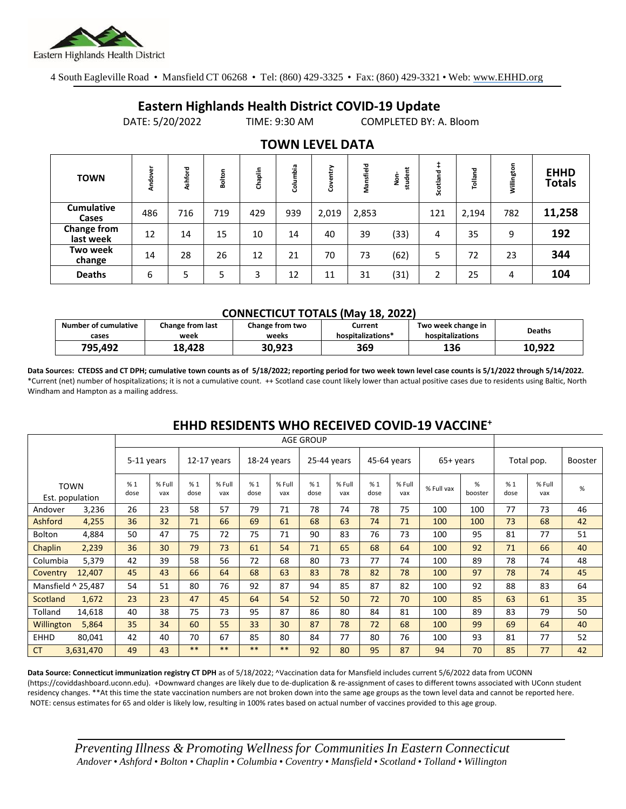

4 South Eagleville Road • Mansfield CT 06268 • Tel: (860) 429-3325 • Fax: (860) 429-3321 • Web: www.EHHD.org

## **Eastern Highlands Health District COVID-19 Update**

DATE: 5/20/2022 TIME: 9:30 AM COMPLETED BY: A. Bloom

| <b>TOWN</b>                | Andover | Ashford | Bolton | Chaplin | Columbia | ➤<br>늍<br>පි | Mansfield | student<br>å | Scotland | Tolland | Willington | <b>EHHD</b><br><b>Totals</b> |
|----------------------------|---------|---------|--------|---------|----------|--------------|-----------|--------------|----------|---------|------------|------------------------------|
| <b>Cumulative</b><br>Cases | 486     | 716     | 719    | 429     | 939      | 2,019        | 2,853     |              | 121      | 2,194   | 782        | 11,258                       |
| Change from<br>last week   | 12      | 14      | 15     | 10      | 14       | 40           | 39        | (33)         | 4        | 35      | 9          | 192                          |
| Two week<br>change         | 14      | 28      | 26     | 12      | 21       | 70           | 73        | (62)         | 5        | 72      | 23         | 344                          |
| <b>Deaths</b>              | 6       | 5       | 5      | 3       | 12       | 11           | 31        | (31)         | 2        | 25      | 4          | 104                          |

### **TOWN LEVEL DATA**

#### **CONNECTICUT TOTALS (May 18, 2022)**

| <b>Number of cumulative</b> | Change from last | Change from two | Current           | Two week change in | <b>Deaths</b> |
|-----------------------------|------------------|-----------------|-------------------|--------------------|---------------|
| cases                       | week             | weeks           | hospitalizations* | hospitalizations   |               |
| 795.492                     | 18.428           | 30.923          | 369               | 136                | 10.922        |

**Data Sources: CTEDSS and CT DPH; cumulative town counts as of 5/18/2022; reporting period for two week town level case counts is 5/1/2022 through 5/14/2022.** \*Current (net) number of hospitalizations; it is not a cumulative count. ++ Scotland case count likely lower than actual positive cases due to residents using Baltic, North Windham and Hampton as a mailing address.

|               |                                |            |               |               |               | <b>AGE GROUP</b> |               |             |               |             |               |             |              |            |               |                |
|---------------|--------------------------------|------------|---------------|---------------|---------------|------------------|---------------|-------------|---------------|-------------|---------------|-------------|--------------|------------|---------------|----------------|
|               |                                | 5-11 years |               | $12-17$ years |               | 18-24 years      |               | 25-44 years |               | 45-64 years |               | $65+$ years |              | Total pop. |               | <b>Booster</b> |
|               | <b>TOWN</b><br>Est. population | %1<br>dose | % Full<br>vax | %1<br>dose    | % Full<br>vax | %1<br>dose       | % Full<br>vax | %1<br>dose  | % Full<br>vax | %1<br>dose  | % Full<br>vax | % Full vax  | %<br>booster | %1<br>dose | % Full<br>vax | %              |
| Andover       | 3,236                          | 26         | 23            | 58            | 57            | 79               | 71            | 78          | 74            | 78          | 75            | 100         | 100          | 77         | 73            | 46             |
| Ashford       | 4,255                          | 36         | 32            | 71            | 66            | 69               | 61            | 68          | 63            | 74          | 71            | 100         | 100          | 73         | 68            | 42             |
| <b>Bolton</b> | 4,884                          | 50         | 47            | 75            | 72            | 75               | 71            | 90          | 83            | 76          | 73            | 100         | 95           | 81         | 77            | 51             |
| Chaplin       | 2,239                          | 36         | 30            | 79            | 73            | 61               | 54            | 71          | 65            | 68          | 64            | 100         | 92           | 71         | 66            | 40             |
| Columbia      | 5,379                          | 42         | 39            | 58            | 56            | 72               | 68            | 80          | 73            | 77          | 74            | 100         | 89           | 78         | 74            | 48             |
| Coventry      | 12,407                         | 45         | 43            | 66            | 64            | 68               | 63            | 83          | 78            | 82          | 78            | 100         | 97           | 78         | 74            | 45             |
|               | Mansfield ^ 25,487             | 54         | 51            | 80            | 76            | 92               | 87            | 94          | 85            | 87          | 82            | 100         | 92           | 88         | 83            | 64             |
| Scotland      | 1,672                          | 23         | 23            | 47            | 45            | 64               | 54            | 52          | 50            | 72          | 70            | 100         | 85           | 63         | 61            | 35             |
| Tolland       | 14,618                         | 40         | 38            | 75            | 73            | 95               | 87            | 86          | 80            | 84          | 81            | 100         | 89           | 83         | 79            | 50             |
| Willington    | 5,864                          | 35         | 34            | 60            | 55            | 33               | 30            | 87          | 78            | 72          | 68            | 100         | 99           | 69         | 64            | 40             |
| <b>EHHD</b>   | 80.041                         | 42         | 40            | 70            | 67            | 85               | 80            | 84          | 77            | 80          | 76            | 100         | 93           | 81         | 77            | 52             |
| <b>CT</b>     | 3,631,470                      | 49         | 43            | $***$         | **            | $***$            | **            | 92          | 80            | 95          | 87            | 94          | 70           | 85         | 77            | 42             |

### **EHHD RESIDENTS WHO RECEIVED COVID-19 VACCINE<sup>+</sup>**

**Data Source: Connecticut immunization registry CT DPH** as of 5/18/2022; ^Vaccination data for Mansfield includes current 5/6/2022 data from UCONN (https://coviddashboard.uconn.edu). +Downward changes are likely due to de-duplication & re-assignment of cases to different towns associated with UConn student residency changes. \*\*At this time the state vaccination numbers are not broken down into the same age groups as the town level data and cannot be reported here. NOTE: census estimates for 65 and older is likely low, resulting in 100% rates based on actual number of vaccines provided to this age group.

*Preventing Illness & Promoting Wellnessfor Communities In Eastern Connecticut* Andover • Ashford • Bolton • Chaplin • Columbia • Coventry • Mansfield • Scotland • Tolland • Willington